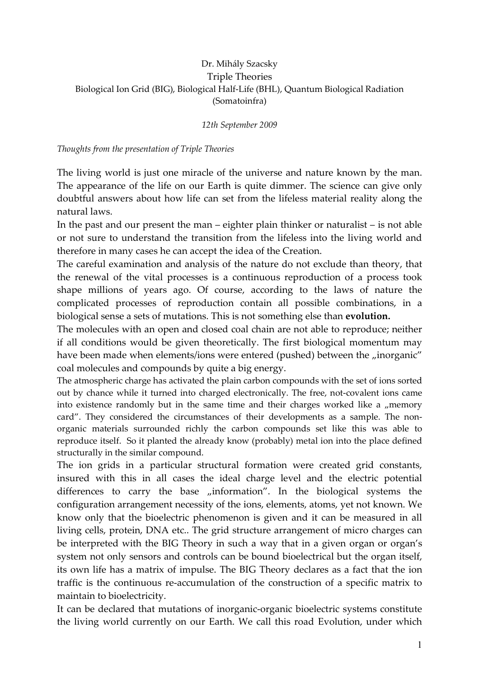## Dr. Mihály Szacsky Triple Theories Biological Ion Grid (BIG), Biological Half-Life (BHL), Quantum Biological Radiation (Somatoinfra)

## 12th September 2009

## Thoughts from the presentation of Triple Theories

The living world is just one miracle of the universe and nature known by the man. The appearance of the life on our Earth is quite dimmer. The science can give only doubtful answers about how life can set from the lifeless material reality along the natural laws.

In the past and our present the man – eighter plain thinker or naturalist – is not able or not sure to understand the transition from the lifeless into the living world and therefore in many cases he can accept the idea of the Creation.

The careful examination and analysis of the nature do not exclude than theory, that the renewal of the vital processes is a continuous reproduction of a process took shape millions of years ago. Of course, according to the laws of nature the complicated processes of reproduction contain all possible combinations, in a biological sense a sets of mutations. This is not something else than evolution.

The molecules with an open and closed coal chain are not able to reproduce; neither if all conditions would be given theoretically. The first biological momentum may have been made when elements/ions were entered (pushed) between the "inorganic" coal molecules and compounds by quite a big energy.

The atmospheric charge has activated the plain carbon compounds with the set of ions sorted out by chance while it turned into charged electronically. The free, not-covalent ions came into existence randomly but in the same time and their charges worked like a  $\mu$  memory card". They considered the circumstances of their developments as a sample. The nonorganic materials surrounded richly the carbon compounds set like this was able to reproduce itself. So it planted the already know (probably) metal ion into the place defined structurally in the similar compound.

The ion grids in a particular structural formation were created grid constants, insured with this in all cases the ideal charge level and the electric potential differences to carry the base "information". In the biological systems the configuration arrangement necessity of the ions, elements, atoms, yet not known. We know only that the bioelectric phenomenon is given and it can be measured in all living cells, protein, DNA etc.. The grid structure arrangement of micro charges can be interpreted with the BIG Theory in such a way that in a given organ or organ's system not only sensors and controls can be bound bioelectrical but the organ itself, its own life has a matrix of impulse. The BIG Theory declares as a fact that the ion traffic is the continuous re-accumulation of the construction of a specific matrix to maintain to bioelectricity.

It can be declared that mutations of inorganic-organic bioelectric systems constitute the living world currently on our Earth. We call this road Evolution, under which